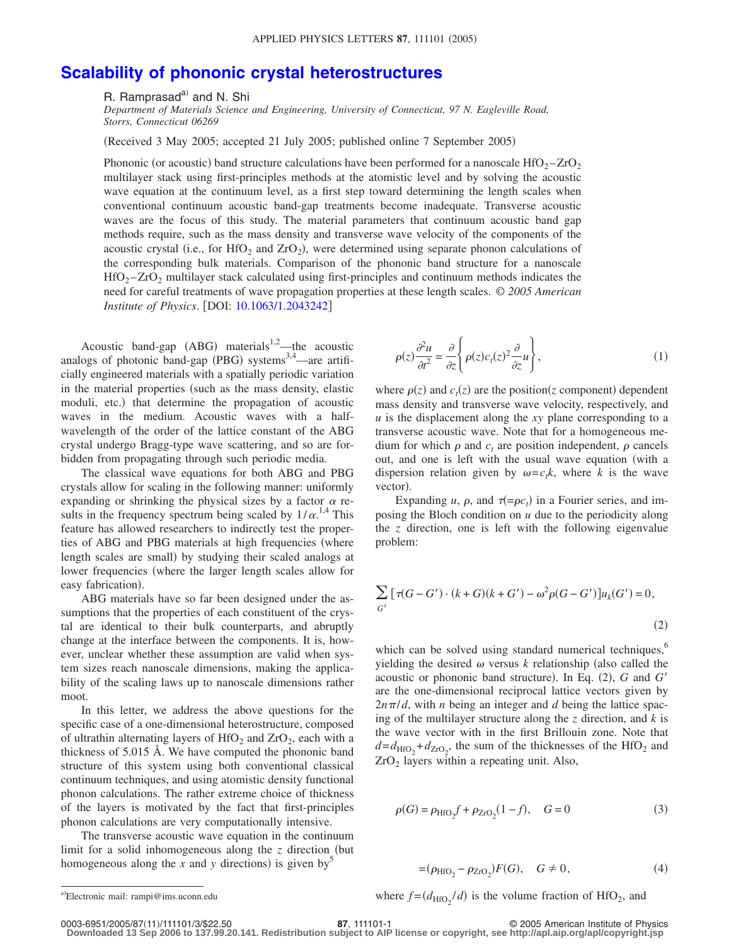## **[Scalability of phononic crystal heterostructures](http://dx.doi.org/10.1063/1.2043242)**

R. Ramprasad<sup>a)</sup> and N. Shi

*Department of Materials Science and Engineering, University of Connecticut, 97 N. Eagleville Road, Storrs, Connecticut 06269*

Received 3 May 2005; accepted 21 July 2005; published online 7 September 2005-

Phononic (or acoustic) band structure calculations have been performed for a nanoscale  $HfO_2 - ZrO_2$ multilayer stack using first-principles methods at the atomistic level and by solving the acoustic wave equation at the continuum level, as a first step toward determining the length scales when conventional continuum acoustic band-gap treatments become inadequate. Transverse acoustic waves are the focus of this study. The material parameters that continuum acoustic band gap methods require, such as the mass density and transverse wave velocity of the components of the acoustic crystal (i.e., for HfO<sub>2</sub> and ZrO<sub>2</sub>), were determined using separate phonon calculations of the corresponding bulk materials. Comparison of the phononic band structure for a nanoscale  $HfO<sub>2</sub> - ZrO<sub>2</sub>$  multilayer stack calculated using first-principles and continuum methods indicates the need for careful treatments of wave propagation properties at these length scales. © *2005 American Institute of Physics.* [DOI: [10.1063/1.2043242](http://dx.doi.org/10.1063/1.2043242)]

Acoustic band-gap  $(ABG)$  materials<sup>1,2</sup>—the acoustic analogs of photonic band-gap (PBG) systems<sup>3,4</sup>—are artificially engineered materials with a spatially periodic variation in the material properties (such as the mass density, elastic moduli, etc.) that determine the propagation of acoustic waves in the medium. Acoustic waves with a halfwavelength of the order of the lattice constant of the ABG crystal undergo Bragg-type wave scattering, and so are forbidden from propagating through such periodic media.

The classical wave equations for both ABG and PBG crystals allow for scaling in the following manner: uniformly expanding or shrinking the physical sizes by a factor  $\alpha$  results in the frequency spectrum being scaled by  $1/\alpha$ .<sup>1,4</sup> This feature has allowed researchers to indirectly test the properties of ABG and PBG materials at high frequencies (where length scales are small) by studying their scaled analogs at lower frequencies (where the larger length scales allow for easy fabrication).

ABG materials have so far been designed under the assumptions that the properties of each constituent of the crystal are identical to their bulk counterparts, and abruptly change at the interface between the components. It is, however, unclear whether these assumption are valid when system sizes reach nanoscale dimensions, making the applicability of the scaling laws up to nanoscale dimensions rather moot.

In this letter, we address the above questions for the specific case of a one-dimensional heterostructure, composed of ultrathin alternating layers of HfO<sub>2</sub> and ZrO<sub>2</sub>, each with a thickness of 5.015 Å. We have computed the phononic band structure of this system using both conventional classical continuum techniques, and using atomistic density functional phonon calculations. The rather extreme choice of thickness of the layers is motivated by the fact that first-principles phonon calculations are very computationally intensive.

The transverse acoustic wave equation in the continuum limit for a solid inhomogeneous along the  $z$  direction (but homogeneous along the  $\overline{x}$  and  $\overline{y}$  directions) is given by<sup>5</sup>

$$
\rho(z)\frac{\partial^2 u}{\partial t^2} = \frac{\partial}{\partial z} \left\{ \rho(z)c_t(z)^2 \frac{\partial}{\partial z} u \right\},\tag{1}
$$

where  $\rho(z)$  and  $c_t(z)$  are the position(*z* component) dependent mass density and transverse wave velocity, respectively, and *u* is the displacement along the *xy* plane corresponding to a transverse acoustic wave. Note that for a homogeneous medium for which  $\rho$  and  $c_t$  are position independent,  $\rho$  cancels out, and one is left with the usual wave equation (with a dispersion relation given by  $\omega = c_t k$ , where *k* is the wave vector).

Expanding *u*,  $\rho$ , and  $\tau(=\rho c_t)$  in a Fourier series, and imposing the Bloch condition on *u* due to the periodicity along the *z* direction, one is left with the following eigenvalue problem:

$$
\sum_{G'} [\tau(G - G') \cdot (k + G)(k + G') - \omega^2 \rho(G - G')] u_k(G') = 0,
$$
\n(2)

which can be solved using standard numerical techniques,<sup>6</sup> yielding the desired  $\omega$  versus *k* relationship (also called the acoustic or phononic band structure). In Eq. (2), G and G' are the one-dimensional reciprocal lattice vectors given by  $2n\pi/d$ , with *n* being an integer and *d* being the lattice spacing of the multilayer structure along the *z* direction, and *k* is the wave vector with in the first Brillouin zone. Note that  $d = d_{\text{HfO}_2} + d_{\text{ZrO}_2}$ , the sum of the thicknesses of the HfO<sub>2</sub> and  $ZrO<sub>2</sub>$  layers within a repeating unit. Also,

$$
\rho(G) = \rho_{\rm HfO_2} f + \rho_{\rm ZrO_2} (1 - f), \quad G = 0 \tag{3}
$$

$$
= (\rho_{\rm HfO_2} - \rho_{\rm ZrO_2}) F(G), \quad G \neq 0, \tag{4}
$$

a)Electronic mail: rampi@ims.uconn.edu where  $f = (d_{\text{HfO}_2}/d)$  is the volume fraction of HfO<sub>2</sub>, and

0003-6951/2005/8711/111101/3/\$22.50 © 2005 American Institute of Physics **87**, 111101-1 **Downloaded 13 Sep 2006 to 137.99.20.141. Redistribution subject to AIP license or copyright, see http://apl.aip.org/apl/copyright.jsp**

Electronic mail: rampi@ims.uconn.edu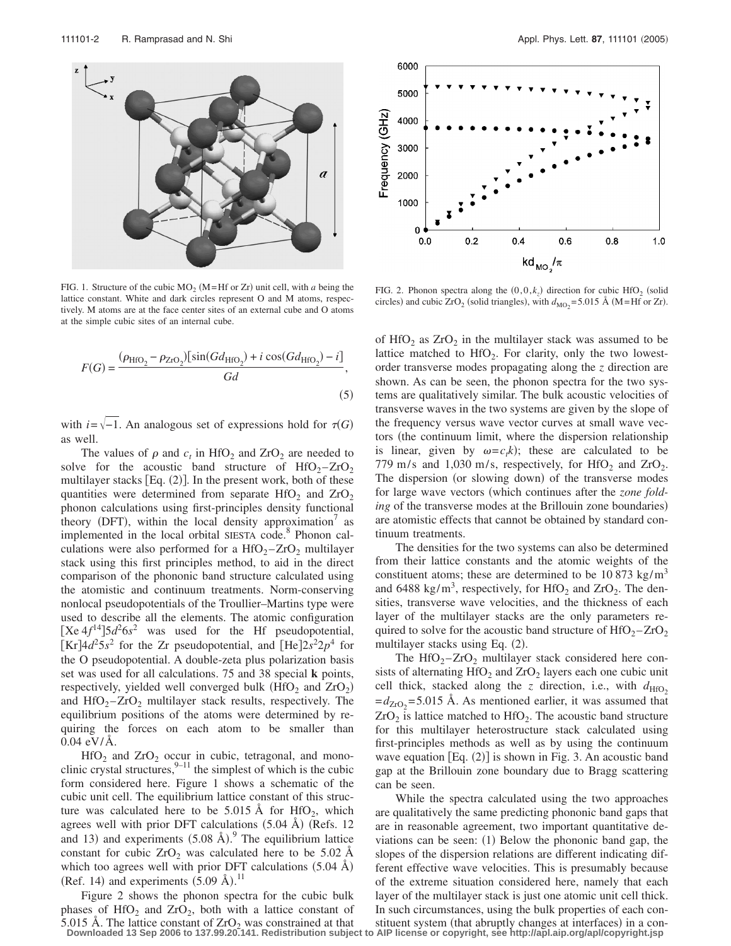

FIG. 1. Structure of the cubic  $MO_2$  (M=Hf or Zr) unit cell, with *a* being the lattice constant. White and dark circles represent O and M atoms, respectively. M atoms are at the face center sites of an external cube and O atoms at the simple cubic sites of an internal cube.

$$
F(G) = \frac{(\rho_{\text{HfO}_2} - \rho_{\text{ZrO}_2})[\sin(Gd_{\text{HfO}_2}) + i\cos(Gd_{\text{HfO}_2}) - i]}{Gd},
$$
\n(5)

with  $i=\sqrt{-1}$ . An analogous set of expressions hold for  $\tau(G)$ as well.

The values of  $\rho$  and  $c_t$  in HfO<sub>2</sub> and ZrO<sub>2</sub> are needed to solve for the acoustic band structure of  $HfO_2 - ZrO_2$ multilayer stacks [Eq. (2)]. In the present work, both of these quantities were determined from separate HfO<sub>2</sub> and  $ZrO<sub>2</sub>$ phonon calculations using first-principles density functional theory (DFT), within the local density approximation<sup>7</sup> as implemented in the local orbital SIESTA code.<sup>8</sup> Phonon calculations were also performed for a  $HfO<sub>2</sub> - ZrO<sub>2</sub>$  multilayer stack using this first principles method, to aid in the direct comparison of the phononic band structure calculated using the atomistic and continuum treatments. Norm-conserving nonlocal pseudopotentials of the Troullier–Martins type were used to describe all the elements. The atomic configuration [Xe  $4f^{14}$ ] $5d^26s^2$  was used for the Hf pseudopotential,  $[Kr]$ 4 $d^2$ 5 $s^2$  for the Zr pseudopotential, and  $[He]$ 2 $s^22p^4$  for the O pseudopotential. A double-zeta plus polarization basis set was used for all calculations. 75 and 38 special **k** points, respectively, yielded well converged bulk  $(HfO<sub>2</sub>$  and  $ZrO<sub>2</sub>)$ and  $HfO_2 - ZrO_2$  multilayer stack results, respectively. The equilibrium positions of the atoms were determined by requiring the forces on each atom to be smaller than 0.04 eV/Å.

 $HfO<sub>2</sub>$  and  $ZrO<sub>2</sub>$  occur in cubic, tetragonal, and monoclinic crystal structures,  $9-11$  the simplest of which is the cubic form considered here. Figure 1 shows a schematic of the cubic unit cell. The equilibrium lattice constant of this structure was calculated here to be 5.015 Å for  $HfO<sub>2</sub>$ , which agrees well with prior DFT calculations  $(5.04 \text{ Å})$  (Refs. 12 and 13) and experiments  $(5.08 \text{ Å})$ . The equilibrium lattice constant for cubic  $ZrO<sub>2</sub>$  was calculated here to be 5.02 Å which too agrees well with prior DFT calculations  $(5.04 \text{ Å})$ (Ref. 14) and experiments  $(5.09 \text{ Å})$ .<sup>11</sup>

Figure 2 shows the phonon spectra for the cubic bulk phases of HfO<sub>2</sub> and ZrO<sub>2</sub>, both with a lattice constant of 5.015 Å. The lattice constant of  $ZrO<sub>2</sub>$  was constrained at that **Downloaded 13 Sep 2006 to 137.99.20.141. Redistribution subject to AIP license or copyright, see http://apl.aip.org/apl/copyright.jsp**



FIG. 2. Phonon spectra along the  $(0,0,k_z)$  direction for cubic HfO<sub>2</sub> (solid circles) and cubic ZrO<sub>2</sub> (solid triangles), with  $d_{\text{MO}_2} = 5.015$  Å (M=Hf or Zr).

of  $HfO<sub>2</sub>$  as  $ZrO<sub>2</sub>$  in the multilayer stack was assumed to be lattice matched to  $HfO<sub>2</sub>$ . For clarity, only the two lowestorder transverse modes propagating along the *z* direction are shown. As can be seen, the phonon spectra for the two systems are qualitatively similar. The bulk acoustic velocities of transverse waves in the two systems are given by the slope of the frequency versus wave vector curves at small wave vectors (the continuum limit, where the dispersion relationship is linear, given by  $\omega = c_t k$ ); these are calculated to be 779 m/s and 1,030 m/s, respectively, for  $HfO<sub>2</sub>$  and  $ZrO<sub>2</sub>$ . The dispersion (or slowing down) of the transverse modes for large wave vectors (which continues after the *zone folding* of the transverse modes at the Brillouin zone boundaries) are atomistic effects that cannot be obtained by standard continuum treatments.

The densities for the two systems can also be determined from their lattice constants and the atomic weights of the constituent atoms; these are determined to be 10 873 kg/m<sup>3</sup> and 6488 kg/m<sup>3</sup>, respectively, for  $HfO<sub>2</sub>$  and  $ZrO<sub>2</sub>$ . The densities, transverse wave velocities, and the thickness of each layer of the multilayer stacks are the only parameters required to solve for the acoustic band structure of  $HfO_2 - ZrO_2$ multilayer stacks using Eq. (2).

The  $HfO<sub>2</sub> - ZrO<sub>2</sub>$  multilayer stack considered here consists of alternating  $HfO<sub>2</sub>$  and  $ZrO<sub>2</sub>$  layers each one cubic unit cell thick, stacked along the *z* direction, i.e., with  $d_{\text{HfO}_2}$  $=d_{ZrO_2}$ =5.015 Å. As mentioned earlier, it was assumed that  $ZrO<sub>2</sub>$  is lattice matched to HfO<sub>2</sub>. The acoustic band structure for this multilayer heterostructure stack calculated using first-principles methods as well as by using the continuum wave equation [Eq. (2)] is shown in Fig. 3. An acoustic band gap at the Brillouin zone boundary due to Bragg scattering can be seen.

While the spectra calculated using the two approaches are qualitatively the same predicting phononic band gaps that are in reasonable agreement, two important quantitative deviations can be seen:  $(1)$  Below the phononic band gap, the slopes of the dispersion relations are different indicating different effective wave velocities. This is presumably because of the extreme situation considered here, namely that each layer of the multilayer stack is just one atomic unit cell thick. In such circumstances, using the bulk properties of each constituent system (that abruptly changes at interfaces) in a con-